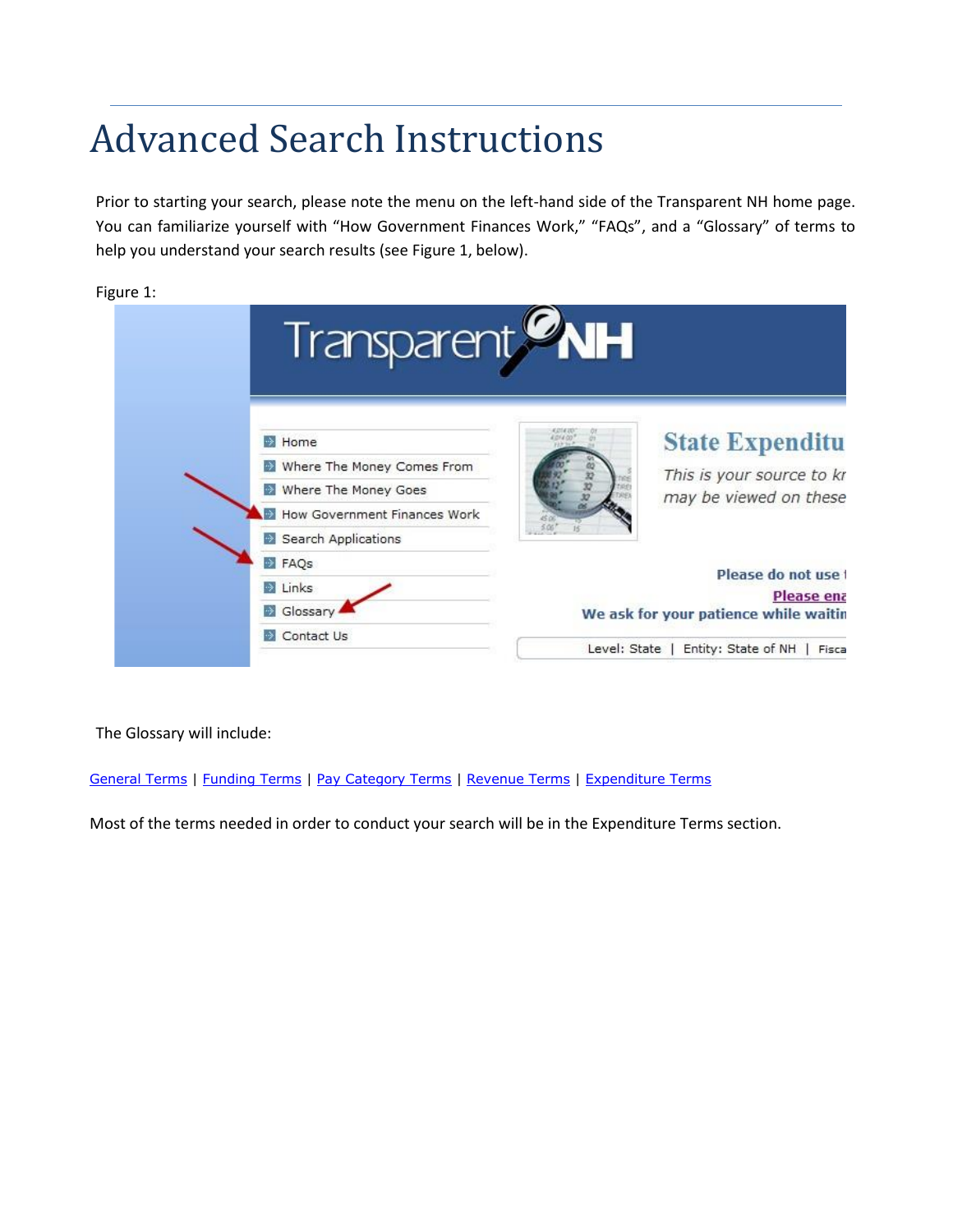# Advanced Search Instructions

Prior to starting your search, please note the menu on the left-hand side of the Transparent NH home page. You can familiarize yourself with "How Government Finances Work," "FAQs", and a "Glossary" of terms to help you understand your search results (see Figure 1, below).

| <b>Figure</b> |  |
|---------------|--|
|---------------|--|

|                                                     | Transparent <b>WH</b>                                                                                                                       |
|-----------------------------------------------------|---------------------------------------------------------------------------------------------------------------------------------------------|
| Home<br>Where The Money Goes<br>Search Applications | <b>State Expenditu</b><br>Where The Money Comes From<br>This is your source to kr<br>may be viewed on these<br>How Government Finances Work |
| FAQs<br><b>Exercise</b><br>Slossary<br>Contact Us   | Please do not use t<br>Please ena<br>We ask for your patience while waitin<br>Entity: State of NH<br>Level: State<br>Fisca                  |

The Glossary will include:

General Terms | Funding Terms | Pay Category Terms | Revenue Terms | Expenditure Terms

Most of the terms needed in order to conduct your search will be in the Expenditure Terms section.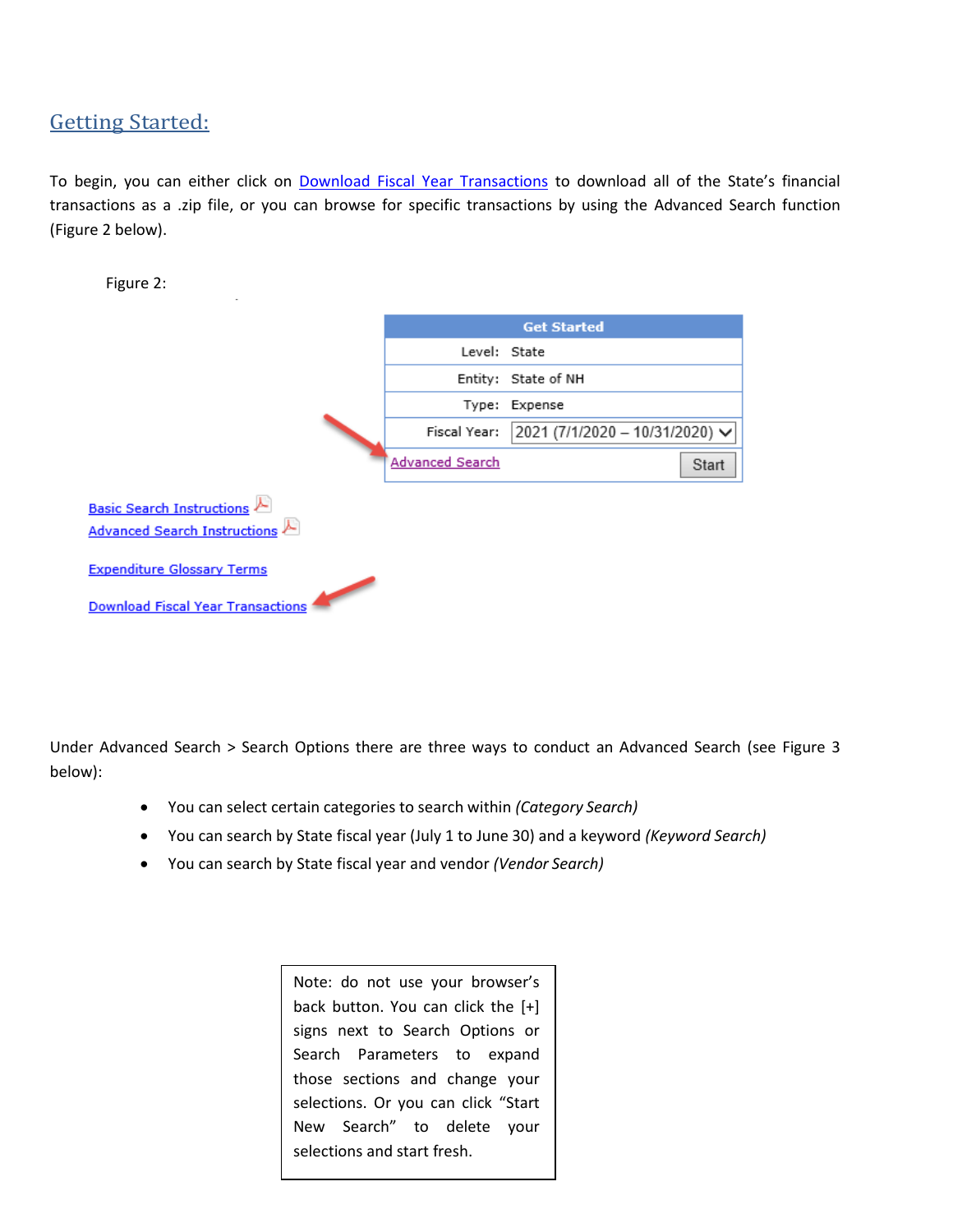# Getting Started:

To begin, you can either click on Download Fiscal Year Transactions to download all of the State's financial transactions as a .zip file, or you can browse for specific transactions by using the Advanced Search function (Figure 2 below).

| Figure 2:                                |                        |                                       |
|------------------------------------------|------------------------|---------------------------------------|
|                                          |                        | <b>Get Started</b>                    |
|                                          | Level: State           |                                       |
|                                          |                        | Entity: State of NH                   |
|                                          |                        | Type: Expense                         |
|                                          | Fiscal Year:           | $2021 (7/1/2020 - 10/31/2020)$ $\vee$ |
|                                          | <b>Advanced Search</b> | Start                                 |
| <b>Basic Search Instructions</b>         |                        |                                       |
| Advanced Search Instructions             |                        |                                       |
| <b>Expenditure Glossary Terms</b>        |                        |                                       |
| <b>Download Fiscal Year Transactions</b> |                        |                                       |

Under Advanced Search > Search Options there are three ways to conduct an Advanced Search (see Figure 3 below):

- You can select certain categories to search within *(Category Search)*
- You can search by State fiscal year (July 1 to June 30) and a keyword *(Keyword Search)*
- You can search by State fiscal year and vendor *(Vendor Search)*

Note: do not use your browser's back button. You can click the [+] signs next to Search Options or Search Parameters to expand those sections and change your selections. Or you can click "Start New Search" to delete your selections and start fresh.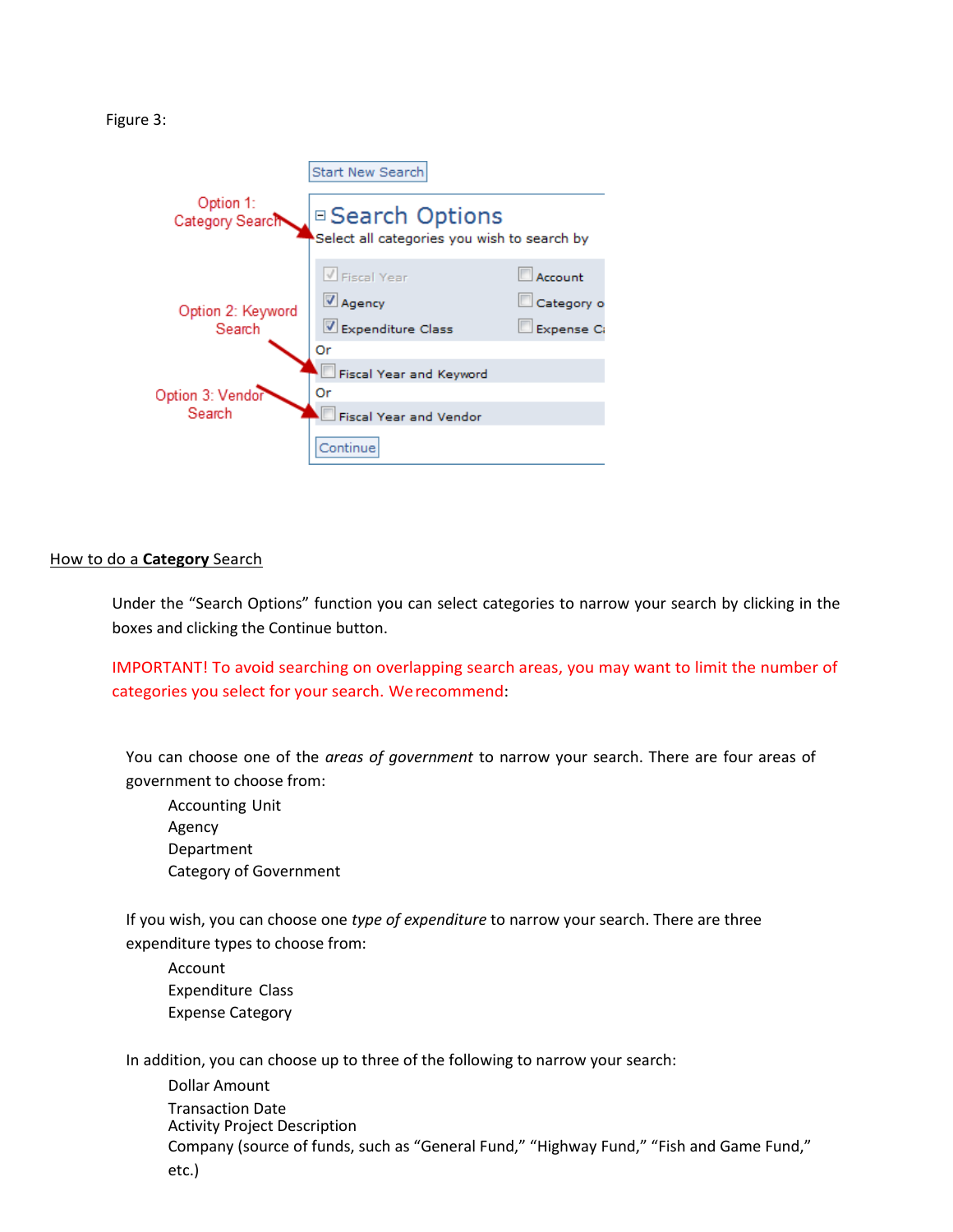Figure 3:

|                              | <b>Start New Search</b>                                         |            |  |  |  |
|------------------------------|-----------------------------------------------------------------|------------|--|--|--|
| Option 1:<br>Category Searc™ | □ Search Options<br>Select all categories you wish to search by |            |  |  |  |
|                              | $\sqrt{\frac{1}{1}}$ Fiscal Year                                | Account    |  |  |  |
| Option 2: Keyword            | Agency                                                          | Category o |  |  |  |
| Search                       | Expenditure Class                                               | Expense Ca |  |  |  |
|                              | Оr                                                              |            |  |  |  |
|                              | Fiscal Year and Keyword                                         |            |  |  |  |
| Option 3: Vendor             | Or                                                              |            |  |  |  |
| Search                       | <b>Fiscal Year and Vendor</b>                                   |            |  |  |  |
|                              | Continue                                                        |            |  |  |  |

# How to do a **Category** Search

Under the "Search Options" function you can select categories to narrow your search by clicking in the boxes and clicking the Continue button.

IMPORTANT! To avoid searching on overlapping search areas, you may want to limit the number of categories you select for your search. Werecommend:

You can choose one of the *areas of government* to narrow your search. There are four areas of government to choose from:

Accounting Unit Agency Department Category of Government

If you wish, you can choose one *type of expenditure* to narrow your search. There are three expenditure types to choose from:

Account Expenditure Class Expense Category

In addition, you can choose up to three of the following to narrow your search:

Dollar Amount Transaction Date Activity Project Description Company (source of funds, such as "General Fund," "Highway Fund," "Fish and Game Fund," etc.)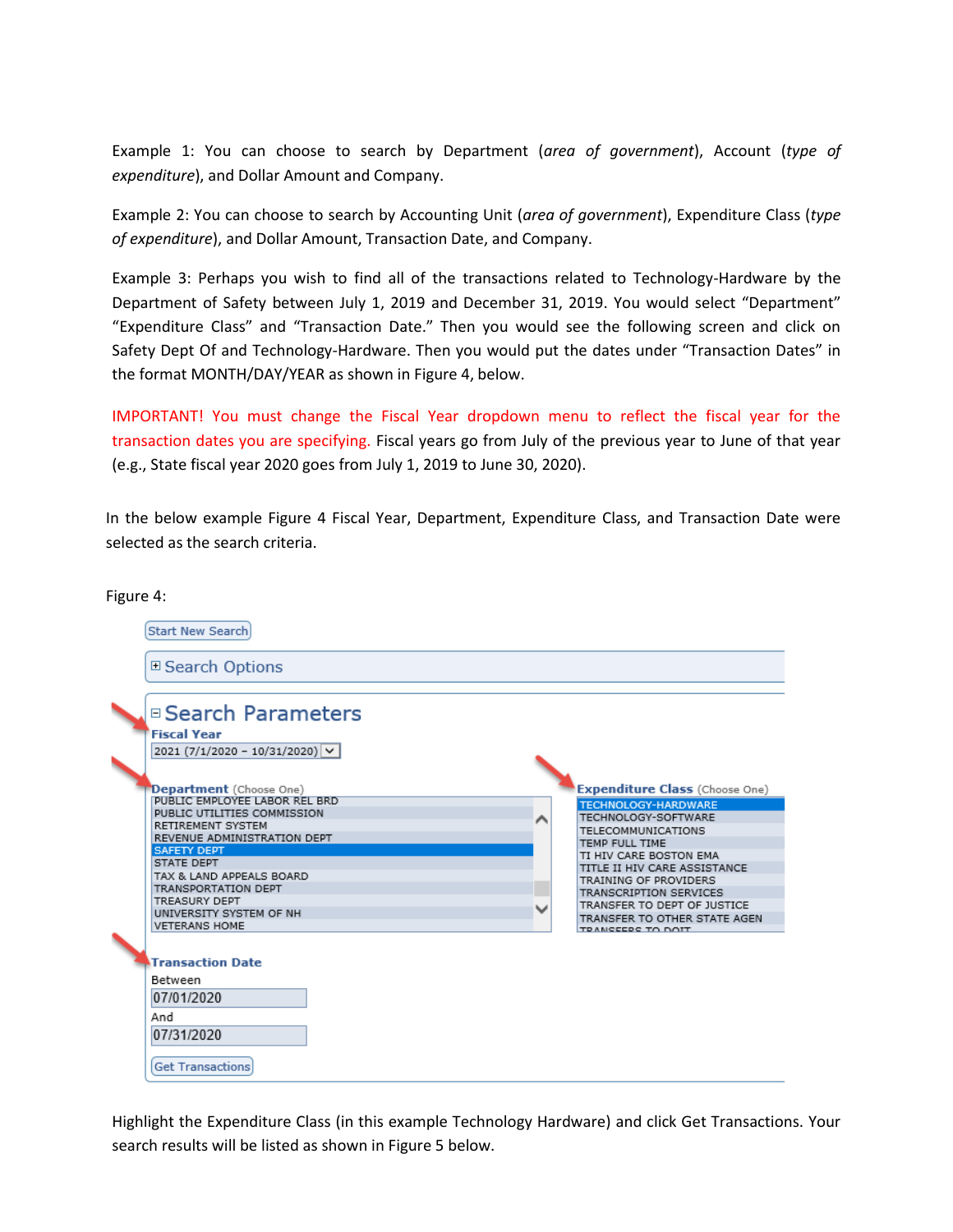Example 1: You can choose to search by Department (*area of government*), Account (*type of expenditure*), and Dollar Amount and Company.

Example 2: You can choose to search by Accounting Unit (*area of government*), Expenditure Class (*type of expenditure*), and Dollar Amount, Transaction Date, and Company.

Example 3: Perhaps you wish to find all of the transactions related to Technology-Hardware by the Department of Safety between July 1, 2019 and December 31, 2019. You would select "Department" "Expenditure Class" and "Transaction Date." Then you would see the following screen and click on Safety Dept Of and Technology-Hardware. Then you would put the dates under "Transaction Dates" in the format MONTH/DAY/YEAR as shown in Figure 4, below.

IMPORTANT! You must change the Fiscal Year dropdown menu to reflect the fiscal year for the transaction dates you are specifying. Fiscal years go from July of the previous year to June of that year (e.g., State fiscal year 2020 goes from July 1, 2019 to June 30, 2020).

In the below example Figure 4 Fiscal Year, Department, Expenditure Class, and Transaction Date were selected as the search criteria.

Figure 4:



Highlight the Expenditure Class (in this example Technology Hardware) and click Get Transactions. Your search results will be listed as shown in Figure 5 below.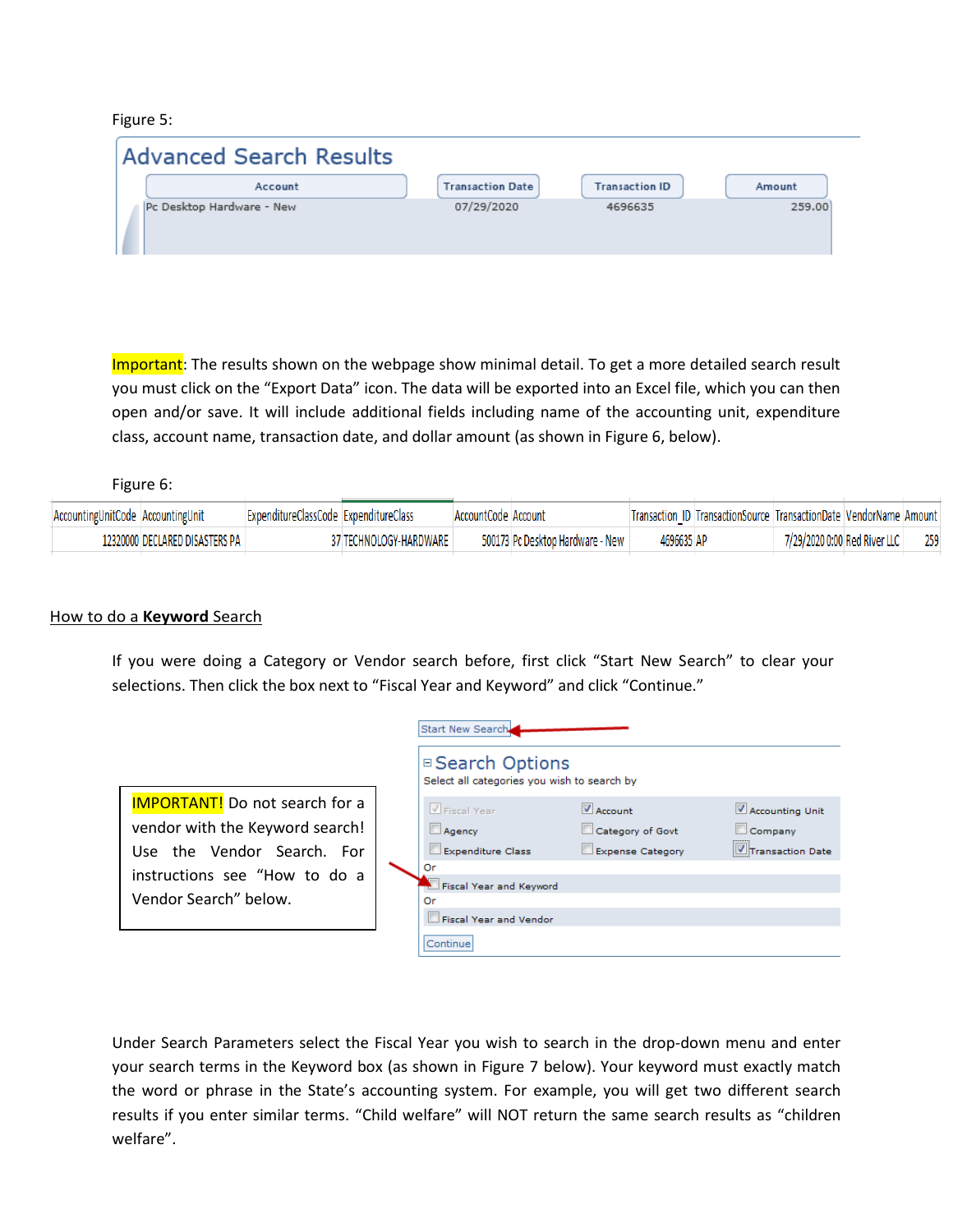## Figure 5:

| <b>Advanced Search Results</b> |                         |                       |        |
|--------------------------------|-------------------------|-----------------------|--------|
| Account                        | <b>Transaction Date</b> | <b>Transaction ID</b> | Amount |
| Pc Desktop Hardware - New      | 07/29/2020              | 4696635               | 259,00 |

Important: The results shown on the webpage show minimal detail. To get a more detailed search result you must click on the "Export Data" icon. The data will be exported into an Excel file, which you can then open and/or save. It will include additional fields including name of the accounting unit, expenditure class, account name, transaction date, and dollar amount (as shown in Figure 6, below).

Figure 6:

| AccountingUnitCode AccountingUnit | ExpenditureClassCode ExpenditureClass |                        | AccountCode Account |                                  |            | Transaction ID TransactionSource TransactionDate VendorName Amount |                              |     |
|-----------------------------------|---------------------------------------|------------------------|---------------------|----------------------------------|------------|--------------------------------------------------------------------|------------------------------|-----|
| 12320000 DECLARED DISASTERS PA +  |                                       | 37 TECHNOLOGY-HARDWARE |                     | 500173 Pc Desktop Hardware - New | 4696635 AP |                                                                    | 7/29/2020 0:00 Red River LLC | 259 |

# How to do a **Keyword** Search

If you were doing a Category or Vendor search before, first click "Start New Search" to clear your selections. Then click the box next to "Fiscal Year and Keyword" and click "Continue."



| Start New Search                                                |                         |                  |
|-----------------------------------------------------------------|-------------------------|------------------|
| □ Search Options<br>Select all categories you wish to search by |                         |                  |
| V Fiscal Year                                                   | <b>V</b> Account        | Accounting Unit  |
| Agency                                                          | Category of Govt        | Company          |
| <b>Expenditure Class</b>                                        | <b>Expense Category</b> | Transaction Date |
| Or                                                              |                         |                  |
| Fiscal Year and Keyword                                         |                         |                  |
| Or                                                              |                         |                  |
| <b>Fiscal Year and Vendor</b>                                   |                         |                  |
| Continue                                                        |                         |                  |

Under Search Parameters select the Fiscal Year you wish to search in the drop-down menu and enter your search terms in the Keyword box (as shown in Figure 7 below). Your keyword must exactly match the word or phrase in the State's accounting system. For example, you will get two different search results if you enter similar terms. "Child welfare" will NOT return the same search results as "children welfare".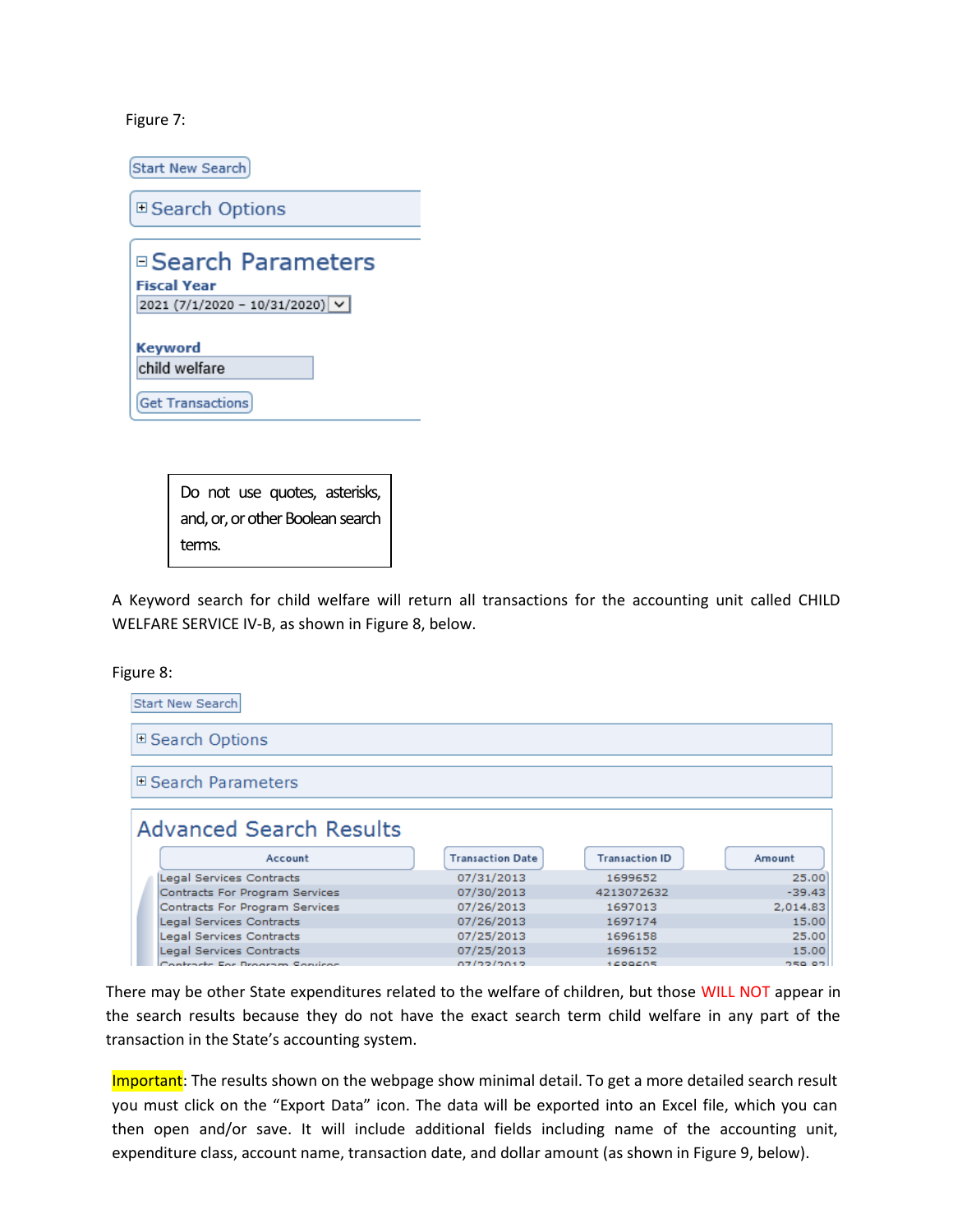Figure 7:

Start New Search

**□ Search Options** 

| □ Search Parameters                 |
|-------------------------------------|
| <b>Fiscal Year</b>                  |
| 2021 (7/1/2020 - 10/31/2020) $\vee$ |
|                                     |
| <b>Keyword</b>                      |
| child welfare                       |

Do not use quotes, asterisks, and, or, or other Boolean search terms.

A Keyword search for child welfare will return all transactions for the accounting unit called CHILD WELFARE SERVICE IV-B, as shown in Figure 8, below.

Figure 8:



There may be other State expenditures related to the welfare of children, but those WILL NOT appear in the search results because they do not have the exact search term child welfare in any part of the transaction in the State's accounting system.

Important: The results shown on the webpage show minimal detail. To get a more detailed search result you must click on the "Export Data" icon. The data will be exported into an Excel file, which you can then open and/or save. It will include additional fields including name of the accounting unit, expenditure class, account name, transaction date, and dollar amount (as shown in Figure 9, below).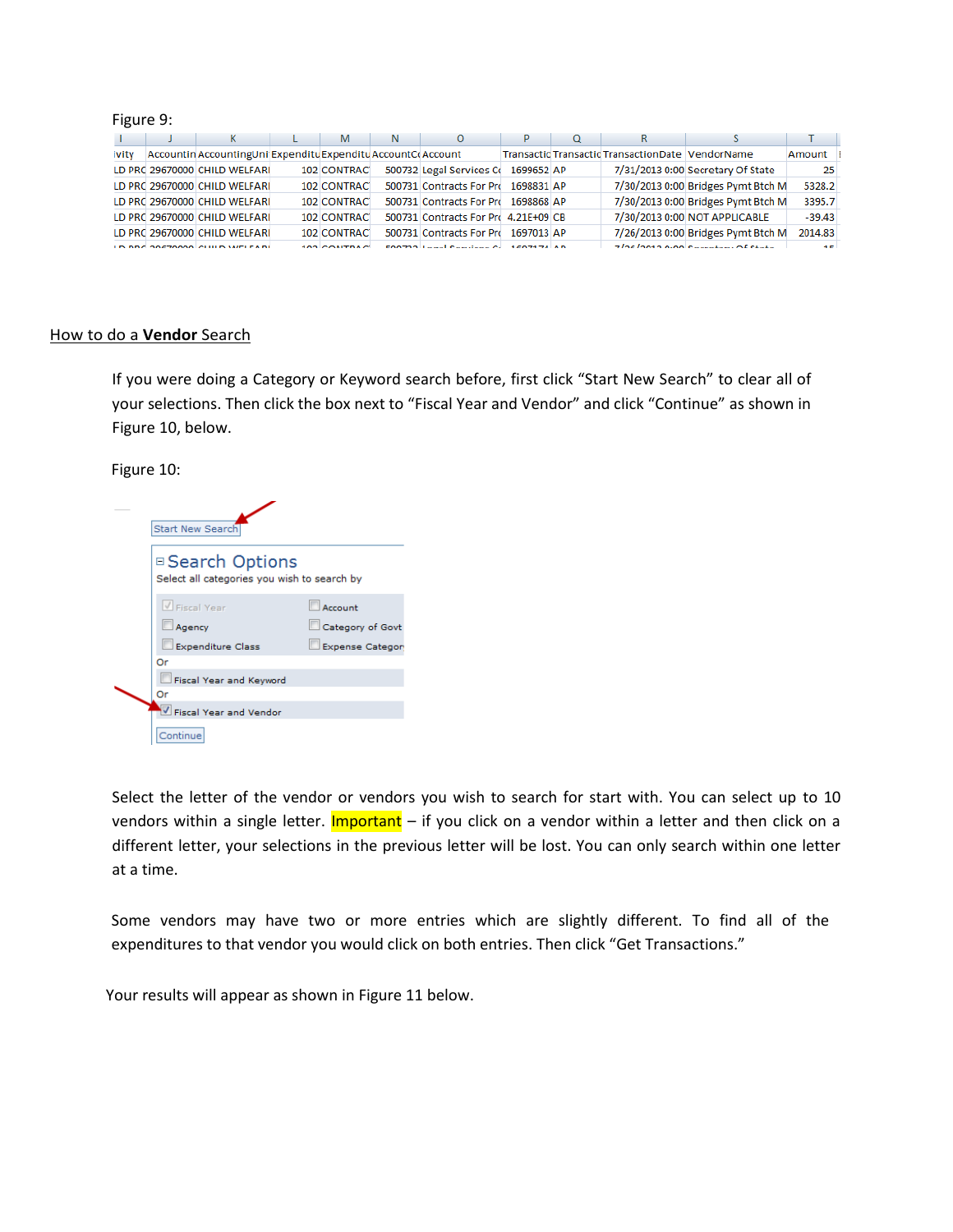#### Figure 9:

|       | к                                                             | M                | N | $\Omega$                             |            | O | к                                                |                                    |            |
|-------|---------------------------------------------------------------|------------------|---|--------------------------------------|------------|---|--------------------------------------------------|------------------------------------|------------|
| ivity | Accountin AccountingUni Expenditu Expenditu AccountCo Account |                  |   |                                      |            |   | Transactic Transactic TransactionDate VendorName |                                    | Amount     |
|       | LD PRC 29670000 CHILD WELFARI                                 | 102 CONTRAC      |   | 500732 Legal Services Co             | 1699652 AP |   |                                                  | 7/31/2013 0:00 Secretary Of State  | 25         |
|       | LD PRC 29670000 CHILD WELFARI                                 | 102 CONTRAC      |   | 500731 Contracts For Pro             | 1698831 AP |   |                                                  | 7/30/2013 0:00 Bridges Pymt Btch M | 5328.2     |
|       | LD PRC 29670000 CHILD WELFARI                                 | 102 CONTRAC      |   | 500731 Contracts For Pro             | 1698868 AP |   |                                                  | 7/30/2013 0:00 Bridges Pymt Btch M | 3395.7     |
|       | LD PRC 29670000 CHILD WELFARI                                 | 102 CONTRAC      |   | 500731 Contracts For Pro 4.21E+09 CB |            |   |                                                  | 7/30/2013 0:00 NOT APPLICABLE      | $-39.43$   |
|       | LD PRC 29670000 CHILD WELFARI                                 | 102 CONTRAC      |   | 500731 Contracts For Pro             | 1697013 AP |   |                                                  | 7/26/2013 0:00 Bridges Pymt Btch M | 2014.83    |
|       | LD DDC 30670000 CUILD WELFARE                                 | 103 $C$ ONITRACI |   | E00723 Logal Contigos Cr. 1507174 AD |            |   |                                                  | Z/36/3013.0:00 Secretary Of State  | <b>ALC</b> |

#### How to do a **Vendor** Search

If you were doing a Category or Keyword search before, first click "Start New Search" to clear all of your selections. Then click the box next to "Fiscal Year and Vendor" and click "Continue" as shown in Figure 10, below.

#### Figure 10:

| <b>Start New Search</b>                                         |                                                        |
|-----------------------------------------------------------------|--------------------------------------------------------|
| □ Search Options<br>Select all categories you wish to search by |                                                        |
| V Fiscal Year<br>Agency<br><b>Expenditure Class</b>             | Account<br>Category of Govt<br><b>Expense Category</b> |
| Or<br>Fiscal Year and Keyword<br>Or<br>Fiscal Year and Vendor   |                                                        |
| Continue                                                        |                                                        |

Select the letter of the vendor or vendors you wish to search for start with. You can select up to 10 vendors within a single letter. Important – if you click on a vendor within a letter and then click on a different letter, your selections in the previous letter will be lost. You can only search within one letter at a time.

Some vendors may have two or more entries which are slightly different. To find all of the expenditures to that vendor you would click on both entries. Then click "Get Transactions."

Your results will appear as shown in Figure 11 below.